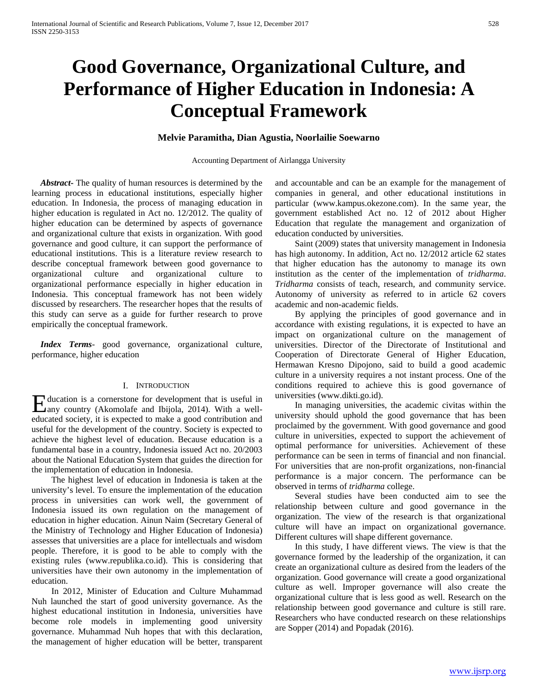# **Good Governance, Organizational Culture, and Performance of Higher Education in Indonesia: A Conceptual Framework**

# **Melvie Paramitha, Dian Agustia, Noorlailie Soewarno**

#### Accounting Department of Airlangga University

 *Abstract***-** The quality of human resources is determined by the learning process in educational institutions, especially higher education. In Indonesia, the process of managing education in higher education is regulated in Act no. 12/2012. The quality of higher education can be determined by aspects of governance and organizational culture that exists in organization. With good governance and good culture, it can support the performance of educational institutions. This is a literature review research to describe conceptual framework between good governance to organizational culture and organizational culture to organizational performance especially in higher education in Indonesia. This conceptual framework has not been widely discussed by researchers. The researcher hopes that the results of this study can serve as a guide for further research to prove empirically the conceptual framework.

 *Index Terms*- good governance, organizational culture, performance, higher education

#### I. INTRODUCTION

ducation is a cornerstone for development that is useful in Education is a cornerstone for development that is useful in a well-<br>any country (Akomolafe and Ibijola, 2014). With a welleducated society, it is expected to make a good contribution and useful for the development of the country. Society is expected to achieve the highest level of education. Because education is a fundamental base in a country, Indonesia issued Act no. 20/2003 about the National Education System that guides the direction for the implementation of education in Indonesia.

 The highest level of education in Indonesia is taken at the university's level. To ensure the implementation of the education process in universities can work well, the government of Indonesia issued its own regulation on the management of education in higher education. Ainun Naim (Secretary General of the Ministry of Technology and Higher Education of Indonesia) assesses that universities are a place for intellectuals and wisdom people. Therefore, it is good to be able to comply with the existing rules (www.republika.co.id). This is considering that universities have their own autonomy in the implementation of education.

 In 2012, Minister of Education and Culture Muhammad Nuh launched the start of good university governance. As the highest educational institution in Indonesia, universities have become role models in implementing good university governance. Muhammad Nuh hopes that with this declaration, the management of higher education will be better, transparent

and accountable and can be an example for the management of companies in general, and other educational institutions in particular (www.kampus.okezone.com). In the same year, the government established Act no. 12 of 2012 about Higher Education that regulate the management and organization of education conducted by universities.

 Saint (2009) states that university management in Indonesia has high autonomy. In addition, Act no. 12/2012 article 62 states that higher education has the autonomy to manage its own institution as the center of the implementation of *tridharma*. *Tridharma* consists of teach, research, and community service. Autonomy of university as referred to in article 62 covers academic and non-academic fields.

 By applying the principles of good governance and in accordance with existing regulations, it is expected to have an impact on organizational culture on the management of universities. Director of the Directorate of Institutional and Cooperation of Directorate General of Higher Education, Hermawan Kresno Dipojono, said to build a good academic culture in a university requires a not instant process. One of the conditions required to achieve this is good governance of universities (www.dikti.go.id).

 In managing universities, the academic civitas within the university should uphold the good governance that has been proclaimed by the government. With good governance and good culture in universities, expected to support the achievement of optimal performance for universities. Achievement of these performance can be seen in terms of financial and non financial. For universities that are non-profit organizations, non-financial performance is a major concern. The performance can be observed in terms of *tridharma* college.

 Several studies have been conducted aim to see the relationship between culture and good governance in the organization. The view of the research is that organizational culture will have an impact on organizational governance. Different cultures will shape different governance.

 In this study, I have different views. The view is that the governance formed by the leadership of the organization, it can create an organizational culture as desired from the leaders of the organization. Good governance will create a good organizational culture as well. Improper governance will also create the organizational culture that is less good as well. Research on the relationship between good governance and culture is still rare. Researchers who have conducted research on these relationships are Sopper (2014) and Popadak (2016).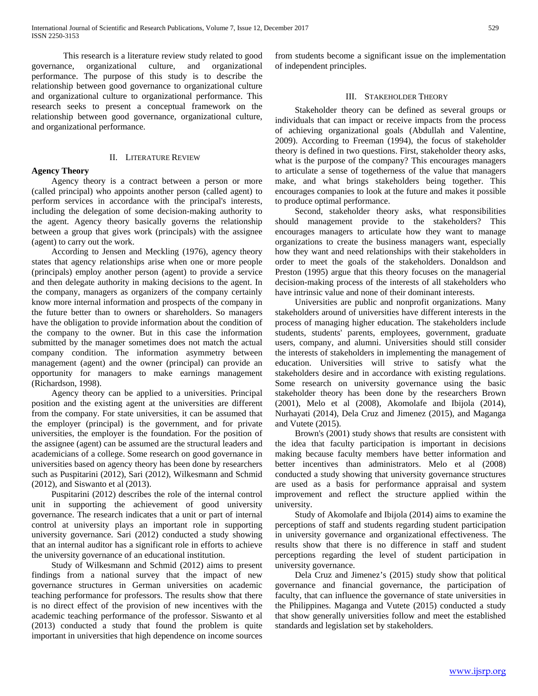This research is a literature review study related to good governance, organizational culture, and organizational performance. The purpose of this study is to describe the relationship between good governance to organizational culture and organizational culture to organizational performance. This research seeks to present a conceptual framework on the relationship between good governance, organizational culture, and organizational performance.

# II. LITERATURE REVIEW

# **Agency Theory**

 Agency theory is a contract between a person or more (called principal) who appoints another person (called agent) to perform services in accordance with the principal's interests, including the delegation of some decision-making authority to the agent. Agency theory basically governs the relationship between a group that gives work (principals) with the assignee (agent) to carry out the work.

 According to Jensen and Meckling (1976), agency theory states that agency relationships arise when one or more people (principals) employ another person (agent) to provide a service and then delegate authority in making decisions to the agent. In the company, managers as organizers of the company certainly know more internal information and prospects of the company in the future better than to owners or shareholders. So managers have the obligation to provide information about the condition of the company to the owner. But in this case the information submitted by the manager sometimes does not match the actual company condition. The information asymmetry between management (agent) and the owner (principal) can provide an opportunity for managers to make earnings management (Richardson, 1998).

 Agency theory can be applied to a universities. Principal position and the existing agent at the universities are different from the company. For state universities, it can be assumed that the employer (principal) is the government, and for private universities, the employer is the foundation. For the position of the assignee (agent) can be assumed are the structural leaders and academicians of a college. Some research on good governance in universities based on agency theory has been done by researchers such as Puspitarini (2012), Sari (2012), Wilkesmann and Schmid (2012), and Siswanto et al (2013).

 Puspitarini (2012) describes the role of the internal control unit in supporting the achievement of good university governance. The research indicates that a unit or part of internal control at university plays an important role in supporting university governance. Sari (2012) conducted a study showing that an internal auditor has a significant role in efforts to achieve the university governance of an educational institution.

 Study of Wilkesmann and Schmid (2012) aims to present findings from a national survey that the impact of new governance structures in German universities on academic teaching performance for professors. The results show that there is no direct effect of the provision of new incentives with the academic teaching performance of the professor. Siswanto et al (2013) conducted a study that found the problem is quite important in universities that high dependence on income sources from students become a significant issue on the implementation of independent principles.

# III. STAKEHOLDER THEORY

 Stakeholder theory can be defined as several groups or individuals that can impact or receive impacts from the process of achieving organizational goals (Abdullah and Valentine, 2009). According to Freeman (1994), the focus of stakeholder theory is defined in two questions. First, stakeholder theory asks, what is the purpose of the company? This encourages managers to articulate a sense of togetherness of the value that managers make, and what brings stakeholders being together. This encourages companies to look at the future and makes it possible to produce optimal performance.

 Second, stakeholder theory asks, what responsibilities should management provide to the stakeholders? This encourages managers to articulate how they want to manage organizations to create the business managers want, especially how they want and need relationships with their stakeholders in order to meet the goals of the stakeholders. Donaldson and Preston (1995) argue that this theory focuses on the managerial decision-making process of the interests of all stakeholders who have intrinsic value and none of their dominant interests.

 Universities are public and nonprofit organizations. Many stakeholders around of universities have different interests in the process of managing higher education. The stakeholders include students, students' parents, employees, government, graduate users, company, and alumni. Universities should still consider the interests of stakeholders in implementing the management of education. Universities will strive to satisfy what the stakeholders desire and in accordance with existing regulations. Some research on university governance using the basic stakeholder theory has been done by the researchers Brown (2001), Melo et al (2008), Akomolafe and Ibijola (2014), Nurhayati (2014), Dela Cruz and Jimenez (2015), and Maganga and Vutete (2015).

 Brown's (2001) study shows that results are consistent with the idea that faculty participation is important in decisions making because faculty members have better information and better incentives than administrators. Melo et al (2008) conducted a study showing that university governance structures are used as a basis for performance appraisal and system improvement and reflect the structure applied within the university.

 Study of Akomolafe and Ibijola (2014) aims to examine the perceptions of staff and students regarding student participation in university governance and organizational effectiveness. The results show that there is no difference in staff and student perceptions regarding the level of student participation in university governance.

 Dela Cruz and Jimenez's (2015) study show that political governance and financial governance, the participation of faculty, that can influence the governance of state universities in the Philippines. Maganga and Vutete (2015) conducted a study that show generally universities follow and meet the established standards and legislation set by stakeholders.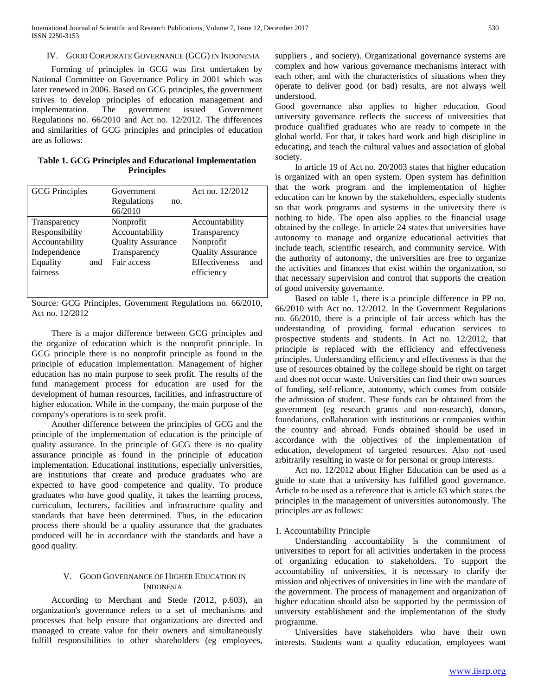#### IV. GOOD CORPORATE GOVERNANCE (GCG) IN INDONESIA

 Forming of principles in GCG was first undertaken by National Committee on Governance Policy in 2001 which was later renewed in 2006. Based on GCG principles, the government strives to develop principles of education management and implementation. The government issued Government Regulations no. 66/2010 and Act no. 12/2012. The differences and similarities of GCG principles and principles of education are as follows:

| Table 1. GCG Principles and Educational Implementation |  |  |  |  |
|--------------------------------------------------------|--|--|--|--|
| <b>Principles</b>                                      |  |  |  |  |

| <b>GCG</b> Principles |     | Government               | Act no. 12/2012          |
|-----------------------|-----|--------------------------|--------------------------|
|                       |     | Regulations<br>no.       |                          |
|                       |     | 66/2010                  |                          |
| Transparency          |     | Nonprofit                | Accountability           |
| Responsibility        |     | Accountability           | Transparency             |
| Accountability        |     | <b>Quality Assurance</b> | Nonprofit                |
| Independence          |     | Transparency             | <b>Quality Assurance</b> |
| Equality              | and | Fair access              | Effectiveness<br>and     |
| fairness              |     |                          | efficiency               |
|                       |     |                          |                          |
|                       |     |                          |                          |

Source: GCG Principles, Government Regulations no. 66/2010, Act no. 12/2012

 There is a major difference between GCG principles and the organize of education which is the nonprofit principle. In GCG principle there is no nonprofit principle as found in the principle of education implementation. Management of higher education has no main purpose to seek profit. The results of the fund management process for education are used for the development of human resources, facilities, and infrastructure of higher education. While in the company, the main purpose of the company's operations is to seek profit.

 Another difference between the principles of GCG and the principle of the implementation of education is the principle of quality assurance. In the principle of GCG there is no quality assurance principle as found in the principle of education implementation. Educational institutions, especially universities, are institutions that create and produce graduates who are expected to have good competence and quality. To produce graduates who have good quality, it takes the learning process, curriculum, lecturers, facilities and infrastructure quality and standards that have been determined. Thus, in the education process there should be a quality assurance that the graduates produced will be in accordance with the standards and have a good quality.

#### V. GOOD GOVERNANCE OF HIGHER EDUCATION IN **INDONESIA**

 According to Merchant and Stede (2012, p.603), an organization's governance refers to a set of mechanisms and processes that help ensure that organizations are directed and managed to create value for their owners and simultaneously fulfill responsibilities to other shareholders (eg employees,

suppliers , and society). Organizational governance systems are complex and how various governance mechanisms interact with each other, and with the characteristics of situations when they operate to deliver good (or bad) results, are not always well understood.

Good governance also applies to higher education. Good university governance reflects the success of universities that produce qualified graduates who are ready to compete in the global world. For that, it takes hard work and high discipline in educating, and teach the cultural values and association of global society.

 In article 19 of Act no. 20/2003 states that higher education is organized with an open system. Open system has definition that the work program and the implementation of higher education can be known by the stakeholders, especially students so that work programs and systems in the university there is nothing to hide. The open also applies to the financial usage obtained by the college. In article 24 states that universities have autonomy to manage and organize educational activities that include teach, scientific research, and community service. With the authority of autonomy, the universities are free to organize the activities and finances that exist within the organization, so that necessary supervision and control that supports the creation of good university governance.

 Based on table 1, there is a principle difference in PP no. 66/2010 with Act no. 12/2012. In the Government Regulations no. 66/2010, there is a principle of fair access which has the understanding of providing formal education services to prospective students and students. In Act no. 12/2012, that principle is replaced with the efficiency and effectiveness principles. Understanding efficiency and effectiveness is that the use of resources obtained by the college should be right on target and does not occur waste. Universities can find their own sources of funding, self-reliance, autonomy, which comes from outside the admission of student. These funds can be obtained from the government (eg research grants and non-research), donors, foundations, collaboration with institutions or companies within the country and abroad. Funds obtained should be used in accordance with the objectives of the implementation of education, development of targeted resources. Also not used arbitrarily resulting in waste or for personal or group interests.

 Act no. 12/2012 about Higher Education can be used as a guide to state that a university has fulfilled good governance. Article to be used as a reference that is article 63 which states the principles in the management of universities autonomously. The principles are as follows:

#### 1. Accountability Principle

 Understanding accountability is the commitment of universities to report for all activities undertaken in the process of organizing education to stakeholders. To support the accountability of universities, it is necessary to clarify the mission and objectives of universities in line with the mandate of the government. The process of management and organization of higher education should also be supported by the permission of university establishment and the implementation of the study programme.

 Universities have stakeholders who have their own interests. Students want a quality education, employees want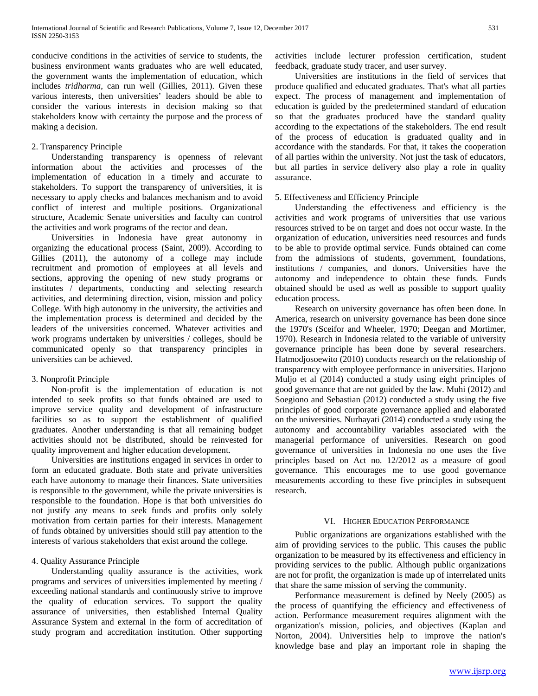conducive conditions in the activities of service to students, the business environment wants graduates who are well educated, the government wants the implementation of education, which includes *tridharma*, can run well (Gillies, 2011). Given these various interests, then universities' leaders should be able to consider the various interests in decision making so that stakeholders know with certainty the purpose and the process of making a decision.

# 2. Transparency Principle

 Understanding transparency is openness of relevant information about the activities and processes of the implementation of education in a timely and accurate to stakeholders. To support the transparency of universities, it is necessary to apply checks and balances mechanism and to avoid conflict of interest and multiple positions. Organizational structure, Academic Senate universities and faculty can control the activities and work programs of the rector and dean.

 Universities in Indonesia have great autonomy in organizing the educational process (Saint, 2009). According to Gillies (2011), the autonomy of a college may include recruitment and promotion of employees at all levels and sections, approving the opening of new study programs or institutes / departments, conducting and selecting research activities, and determining direction, vision, mission and policy College. With high autonomy in the university, the activities and the implementation process is determined and decided by the leaders of the universities concerned. Whatever activities and work programs undertaken by universities / colleges, should be communicated openly so that transparency principles in universities can be achieved.

# 3. Nonprofit Principle

 Non-profit is the implementation of education is not intended to seek profits so that funds obtained are used to improve service quality and development of infrastructure facilities so as to support the establishment of qualified graduates. Another understanding is that all remaining budget activities should not be distributed, should be reinvested for quality improvement and higher education development.

 Universities are institutions engaged in services in order to form an educated graduate. Both state and private universities each have autonomy to manage their finances. State universities is responsible to the government, while the private universities is responsible to the foundation. Hope is that both universities do not justify any means to seek funds and profits only solely motivation from certain parties for their interests. Management of funds obtained by universities should still pay attention to the interests of various stakeholders that exist around the college.

## 4. Quality Assurance Principle

 Understanding quality assurance is the activities, work programs and services of universities implemented by meeting / exceeding national standards and continuously strive to improve the quality of education services. To support the quality assurance of universities, then established Internal Quality Assurance System and external in the form of accreditation of study program and accreditation institution. Other supporting activities include lecturer profession certification, student feedback, graduate study tracer, and user survey.

 Universities are institutions in the field of services that produce qualified and educated graduates. That's what all parties expect. The process of management and implementation of education is guided by the predetermined standard of education so that the graduates produced have the standard quality according to the expectations of the stakeholders. The end result of the process of education is graduated quality and in accordance with the standards. For that, it takes the cooperation of all parties within the university. Not just the task of educators, but all parties in service delivery also play a role in quality assurance.

## 5. Effectiveness and Efficiency Principle

 Understanding the effectiveness and efficiency is the activities and work programs of universities that use various resources strived to be on target and does not occur waste. In the organization of education, universities need resources and funds to be able to provide optimal service. Funds obtained can come from the admissions of students, government, foundations, institutions / companies, and donors. Universities have the autonomy and independence to obtain these funds. Funds obtained should be used as well as possible to support quality education process.

 Research on university governance has often been done. In America, research on university governance has been done since the 1970's (Sceifor and Wheeler, 1970; Deegan and Mortimer, 1970). Research in Indonesia related to the variable of university governance principle has been done by several researchers. Hatmodjosoewito (2010) conducts research on the relationship of transparency with employee performance in universities. Harjono Muljo et al (2014) conducted a study using eight principles of good governance that are not guided by the law. Muhi (2012) and Soegiono and Sebastian (2012) conducted a study using the five principles of good corporate governance applied and elaborated on the universities. Nurhayati (2014) conducted a study using the autonomy and accountability variables associated with the managerial performance of universities. Research on good governance of universities in Indonesia no one uses the five principles based on Act no. 12/2012 as a measure of good governance. This encourages me to use good governance measurements according to these five principles in subsequent research.

#### VI. HIGHER EDUCATION PERFORMANCE

 Public organizations are organizations established with the aim of providing services to the public. This causes the public organization to be measured by its effectiveness and efficiency in providing services to the public. Although public organizations are not for profit, the organization is made up of interrelated units that share the same mission of serving the community.

 Performance measurement is defined by Neely (2005) as the process of quantifying the efficiency and effectiveness of action. Performance measurement requires alignment with the organization's mission, policies, and objectives (Kaplan and Norton, 2004). Universities help to improve the nation's knowledge base and play an important role in shaping the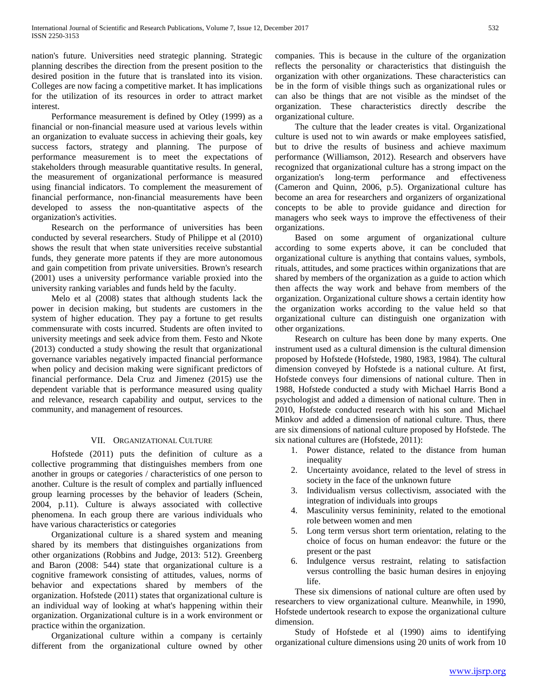nation's future. Universities need strategic planning. Strategic planning describes the direction from the present position to the desired position in the future that is translated into its vision. Colleges are now facing a competitive market. It has implications for the utilization of its resources in order to attract market interest.

 Performance measurement is defined by Otley (1999) as a financial or non-financial measure used at various levels within an organization to evaluate success in achieving their goals, key success factors, strategy and planning. The purpose of performance measurement is to meet the expectations of stakeholders through measurable quantitative results. In general, the measurement of organizational performance is measured using financial indicators. To complement the measurement of financial performance, non-financial measurements have been developed to assess the non-quantitative aspects of the organization's activities.

 Research on the performance of universities has been conducted by several researchers. Study of Philippe et al (2010) shows the result that when state universities receive substantial funds, they generate more patents if they are more autonomous and gain competition from private universities. Brown's research (2001) uses a university performance variable proxied into the university ranking variables and funds held by the faculty.

 Melo et al (2008) states that although students lack the power in decision making, but students are customers in the system of higher education. They pay a fortune to get results commensurate with costs incurred. Students are often invited to university meetings and seek advice from them. Festo and Nkote (2013) conducted a study showing the result that organizational governance variables negatively impacted financial performance when policy and decision making were significant predictors of financial performance. Dela Cruz and Jimenez (2015) use the dependent variable that is performance measured using quality and relevance, research capability and output, services to the community, and management of resources.

#### VII. ORGANIZATIONAL CULTURE

 Hofstede (2011) puts the definition of culture as a collective programming that distinguishes members from one another in groups or categories / characteristics of one person to another. Culture is the result of complex and partially influenced group learning processes by the behavior of leaders (Schein, 2004, p.11). Culture is always associated with collective phenomena. In each group there are various individuals who have various characteristics or categories

 Organizational culture is a shared system and meaning shared by its members that distinguishes organizations from other organizations (Robbins and Judge, 2013: 512). Greenberg and Baron (2008: 544) state that organizational culture is a cognitive framework consisting of attitudes, values, norms of behavior and expectations shared by members of the organization. Hofstede (2011) states that organizational culture is an individual way of looking at what's happening within their organization. Organizational culture is in a work environment or practice within the organization.

 Organizational culture within a company is certainly different from the organizational culture owned by other companies. This is because in the culture of the organization reflects the personality or characteristics that distinguish the organization with other organizations. These characteristics can be in the form of visible things such as organizational rules or can also be things that are not visible as the mindset of the organization. These characteristics directly describe the organizational culture.

 The culture that the leader creates is vital. Organizational culture is used not to win awards or make employees satisfied, but to drive the results of business and achieve maximum performance (Williamson, 2012). Research and observers have recognized that organizational culture has a strong impact on the organization's long-term performance and effectiveness (Cameron and Quinn, 2006, p.5). Organizational culture has become an area for researchers and organizers of organizational concepts to be able to provide guidance and direction for managers who seek ways to improve the effectiveness of their organizations.

 Based on some argument of organizational culture according to some experts above, it can be concluded that organizational culture is anything that contains values, symbols, rituals, attitudes, and some practices within organizations that are shared by members of the organization as a guide to action which then affects the way work and behave from members of the organization. Organizational culture shows a certain identity how the organization works according to the value held so that organizational culture can distinguish one organization with other organizations.

 Research on culture has been done by many experts. One instrument used as a cultural dimension is the cultural dimension proposed by Hofstede (Hofstede, 1980, 1983, 1984). The cultural dimension conveyed by Hofstede is a national culture. At first, Hofstede conveys four dimensions of national culture. Then in 1988, Hofstede conducted a study with Michael Harris Bond a psychologist and added a dimension of national culture. Then in 2010, Hofstede conducted research with his son and Michael Minkov and added a dimension of national culture. Thus, there are six dimensions of national culture proposed by Hofstede. The six national cultures are (Hofstede, 2011):

- 1. Power distance, related to the distance from human inequality
- 2. Uncertainty avoidance, related to the level of stress in society in the face of the unknown future
- 3. Individualism versus collectivism, associated with the integration of individuals into groups
- 4. Masculinity versus femininity, related to the emotional role between women and men
- 5. Long term versus short term orientation, relating to the choice of focus on human endeavor: the future or the present or the past
- 6. Indulgence versus restraint, relating to satisfaction versus controlling the basic human desires in enjoying life.

 These six dimensions of national culture are often used by researchers to view organizational culture. Meanwhile, in 1990, Hofstede undertook research to expose the organizational culture dimension.

 Study of Hofstede et al (1990) aims to identifying organizational culture dimensions using 20 units of work from 10

[www.ijsrp.org](http://ijsrp.org/)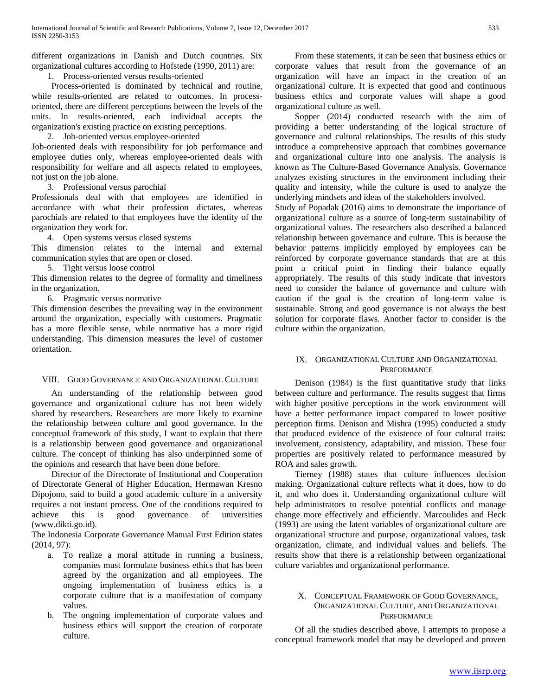different organizations in Danish and Dutch countries. Six organizational cultures according to Hofstede (1990, 2011) are:

1. Process-oriented versus results-oriented

 Process-oriented is dominated by technical and routine, while results-oriented are related to outcomes. In processoriented, there are different perceptions between the levels of the units. In results-oriented, each individual accepts the organization's existing practice on existing perceptions.

2. Job-oriented versus employee-oriented

Job-oriented deals with responsibility for job performance and employee duties only, whereas employee-oriented deals with responsibility for welfare and all aspects related to employees, not just on the job alone.

3. Professional versus parochial

Professionals deal with that employees are identified in accordance with what their profession dictates, whereas parochials are related to that employees have the identity of the organization they work for.

4. Open systems versus closed systems

This dimension relates to the internal and external communication styles that are open or closed.

5. Tight versus loose control

This dimension relates to the degree of formality and timeliness in the organization.

6. Pragmatic versus normative

This dimension describes the prevailing way in the environment around the organization, especially with customers. Pragmatic has a more flexible sense, while normative has a more rigid understanding. This dimension measures the level of customer orientation.

# VIII. GOOD GOVERNANCE AND ORGANIZATIONAL CULTURE

 An understanding of the relationship between good governance and organizational culture has not been widely shared by researchers. Researchers are more likely to examine the relationship between culture and good governance. In the conceptual framework of this study, I want to explain that there is a relationship between good governance and organizational culture. The concept of thinking has also underpinned some of the opinions and research that have been done before.

 Director of the Directorate of Institutional and Cooperation of Directorate General of Higher Education, Hermawan Kresno Dipojono, said to build a good academic culture in a university requires a not instant process. One of the conditions required to achieve this is good governance of universities (www.dikti.go.id).

The Indonesia Corporate Governance Manual First Edition states (2014, 97):

- a. To realize a moral attitude in running a business, companies must formulate business ethics that has been agreed by the organization and all employees. The ongoing implementation of business ethics is a corporate culture that is a manifestation of company values.
- b. The ongoing implementation of corporate values and business ethics will support the creation of corporate culture.

 From these statements, it can be seen that business ethics or corporate values that result from the governance of an organization will have an impact in the creation of an organizational culture. It is expected that good and continuous business ethics and corporate values will shape a good organizational culture as well.

 Sopper (2014) conducted research with the aim of providing a better understanding of the logical structure of governance and cultural relationships. The results of this study introduce a comprehensive approach that combines governance and organizational culture into one analysis. The analysis is known as The Culture-Based Governance Analysis. Governance analyzes existing structures in the environment including their quality and intensity, while the culture is used to analyze the underlying mindsets and ideas of the stakeholders involved.

Study of Popadak (2016) aims to demonstrate the importance of organizational culture as a source of long-term sustainability of organizational values. The researchers also described a balanced relationship between governance and culture. This is because the behavior patterns implicitly employed by employees can be reinforced by corporate governance standards that are at this point a critical point in finding their balance equally appropriately. The results of this study indicate that investors need to consider the balance of governance and culture with caution if the goal is the creation of long-term value is sustainable. Strong and good governance is not always the best solution for corporate flaws. Another factor to consider is the culture within the organization.

# IX. ORGANIZATIONAL CULTURE AND ORGANIZATIONAL **PERFORMANCE**

 Denison (1984) is the first quantitative study that links between culture and performance. The results suggest that firms with higher positive perceptions in the work environment will have a better performance impact compared to lower positive perception firms. Denison and Mishra (1995) conducted a study that produced evidence of the existence of four cultural traits: involvement, consistency, adaptability, and mission. These four properties are positively related to performance measured by ROA and sales growth.

 Tierney (1988) states that culture influences decision making. Organizational culture reflects what it does, how to do it, and who does it. Understanding organizational culture will help administrators to resolve potential conflicts and manage change more effectively and efficiently. Marcoulides and Heck (1993) are using the latent variables of organizational culture are organizational structure and purpose, organizational values, task organization, climate, and individual values and beliefs. The results show that there is a relationship between organizational culture variables and organizational performance.

## X. CONCEPTUAL FRAMEWORK OF GOOD GOVERNANCE, ORGANIZATIONAL CULTURE, AND ORGANIZATIONAL **PERFORMANCE**

 Of all the studies described above, I attempts to propose a conceptual framework model that may be developed and proven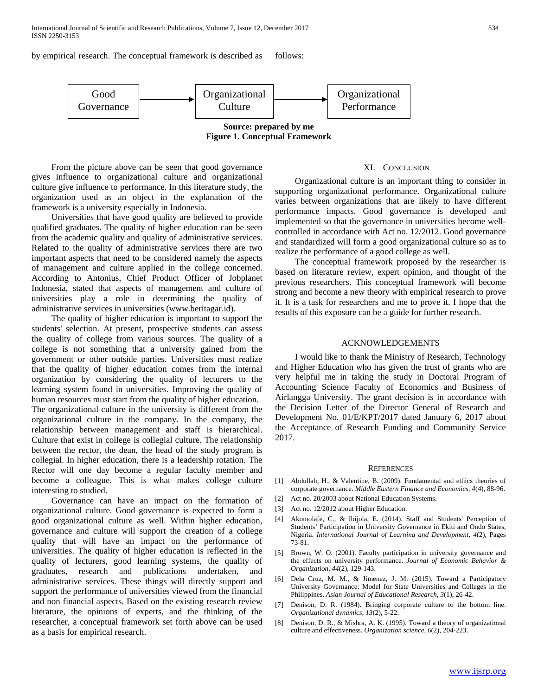by empirical research. The conceptual framework is described as follows:



**Figure 1. Conceptual Framework**

 From the picture above can be seen that good governance gives influence to organizational culture and organizational culture give influence to performance. In this literature study, the organization used as an object in the explanation of the framework is a university especially in Indonesia.

 Universities that have good quality are believed to provide qualified graduates. The quality of higher education can be seen from the academic quality and quality of administrative services. Related to the quality of administrative services there are two important aspects that need to be considered namely the aspects of management and culture applied in the college concerned. According to Antonius, Chief Product Officer of Jobplanet Indonesia, stated that aspects of management and culture of universities play a role in determining the quality of administrative services in universities (www.beritagar.id).

 The quality of higher education is important to support the students' selection. At present, prospective students can assess the quality of college from various sources. The quality of a college is not something that a university gained from the government or other outside parties. Universities must realize that the quality of higher education comes from the internal organization by considering the quality of lecturers to the learning system found in universities. Improving the quality of human resources must start from the quality of higher education. The organizational culture in the university is different from the organizational culture in the company. In the company, the relationship between management and staff is hierarchical. Culture that exist in college is collegial culture. The relationship between the rector, the dean, the head of the study program is collegial. In higher education, there is a leadership rotation. The Rector will one day become a regular faculty member and become a colleague. This is what makes college culture interesting to studied.

 Governance can have an impact on the formation of organizational culture. Good governance is expected to form a good organizational culture as well. Within higher education, governance and culture will support the creation of a college quality that will have an impact on the performance of universities. The quality of higher education is reflected in the quality of lecturers, good learning systems, the quality of graduates, research and publications undertaken, and administrative services. These things will directly support and support the performance of universities viewed from the financial and non financial aspects. Based on the existing research review literature, the opinions of experts, and the thinking of the researcher, a conceptual framework set forth above can be used as a basis for empirical research.

#### XI. CONCLUSION

 Organizational culture is an important thing to consider in supporting organizational performance. Organizational culture varies between organizations that are likely to have different performance impacts. Good governance is developed and implemented so that the governance in universities become wellcontrolled in accordance with Act no. 12/2012. Good governance and standardized will form a good organizational culture so as to realize the performance of a good college as well.

 The conceptual framework proposed by the researcher is based on literature review, expert opinion, and thought of the previous researchers. This conceptual framework will become strong and become a new theory with empirical research to prove it. It is a task for researchers and me to prove it. I hope that the results of this exposure can be a guide for further research.

#### ACKNOWLEDGEMENTS

 I would like to thank the Ministry of Research, Technology and Higher Education who has given the trust of grants who are very helpful me in taking the study in Doctoral Program of Accounting Science Faculty of Economics and Business of Airlangga University. The grant decision is in accordance with the Decision Letter of the Director General of Research and Development No. 01/E/KPT/2017 dated January 6, 2017 about the Acceptance of Research Funding and Community Service 2017.

#### **REFERENCES**

- [1] Abdullah, H., & Valentine, B. (2009). Fundamental and ethics theories of corporate governance. *Middle Eastern Finance and Economics, 4*(4), 88-96.
- [2] Act no. 20/2003 about National Education Systems.
- [3] Act no. 12/2012 about Higher Education.
- [4] Akomolafe, C., & Ibijola, E. (2014). Staff and Students' Perception of Students' Participation in University Governance in Ekiti and Ondo States, Nigeria. *International Journal of Learning and Development, 4*(2), Pages 73-81.
- [5] Brown, W. O. (2001). Faculty participation in university governance and the effects on university performance. *Journal of Economic Behavior & Organization, 44*(2), 129-143.
- [6] Dela Cruz, M. M., & Jimenez, J. M. (2015). Toward a Participatory University Governance: Model for State Universities and Colleges in the Philippines. *Asian Journal of Educational Research, 3*(1), 26-42.
- [7] Denison, D. R. (1984). Bringing corporate culture to the bottom line. *Organizational dynamics, 13*(2), 5-22.
- [8] Denison, D. R., & Mishra, A. K. (1995). Toward a theory of organizational culture and effectiveness. *Organization science, 6*(2), 204-223.